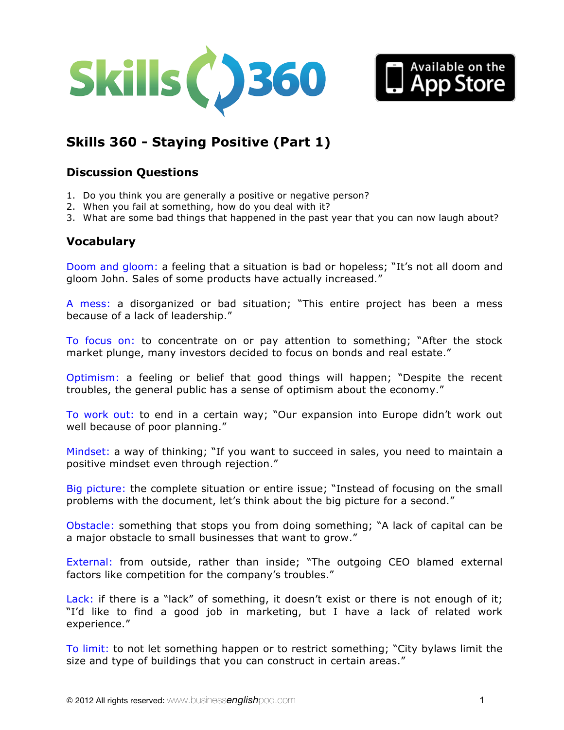



# **Skills 360 - [Staying Positive \(Part 1\)](http://www.businessenglishpod.com/2013/01/06/business-english-skills-360-staying-positive-1/)**

# **Discussion Questions**

- 1. Do you think you are generally a positive or negative person?
- 2. When you fail at something, how do you deal with it?
- 3. What are some bad things that happened in the past year that you can now laugh about?

# **Vocabulary**

Doom and gloom: a feeling that a situation is bad or hopeless; "It's not all doom and gloom John. Sales of some products have actually increased."

A mess: a disorganized or bad situation; "This entire project has been a mess because of a lack of leadership."

To focus on: to concentrate on or pay attention to something; "After the stock market plunge, many investors decided to focus on bonds and real estate."

Optimism: a feeling or belief that good things will happen; "Despite the recent troubles, the general public has a sense of optimism about the economy."

To work out: to end in a certain way; "Our expansion into Europe didn't work out well because of poor planning."

Mindset: a way of thinking; "If you want to succeed in sales, you need to maintain a positive mindset even through rejection."

Big picture: the complete situation or entire issue; "Instead of focusing on the small problems with the document, let's think about the big picture for a second."

Obstacle: something that stops you from doing something; "A lack of capital can be a major obstacle to small businesses that want to grow."

External: from outside, rather than inside; "The outgoing CEO blamed external factors like competition for the company's troubles."

Lack: if there is a "lack" of something, it doesn't exist or there is not enough of it; "I'd like to find a good job in marketing, but I have a lack of related work experience."

To limit: to not let something happen or to restrict something; "City bylaws limit the size and type of buildings that you can construct in certain areas."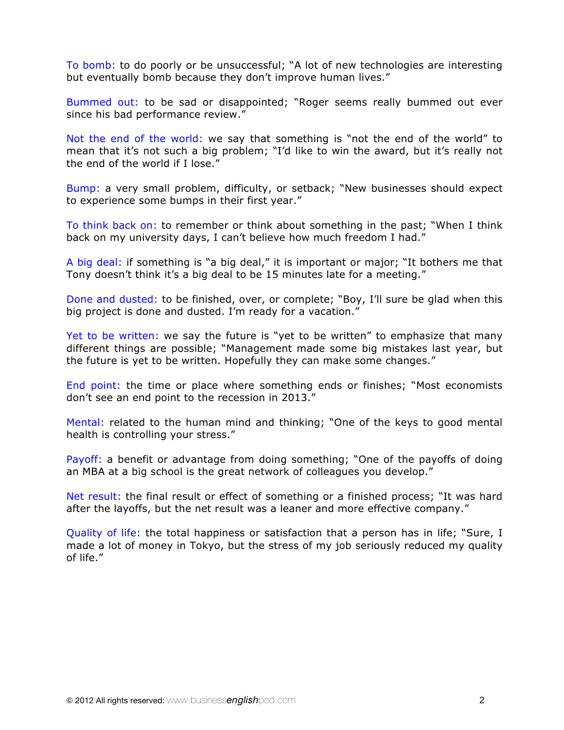To bomb: to do poorly or be unsuccessful; "A lot of new technologies are interesting but eventually bomb because they don't improve human lives."

Bummed out: to be sad or disappointed; "Roger seems really bummed out ever since his bad performance review."

Not the end of the world: we say that something is "not the end of the world" to mean that it's not such a big problem; "I'd like to win the award, but it's really not the end of the world if I lose."

Bump: a very small problem, difficulty, or setback; "New businesses should expect to experience some bumps in their first year."

To think back on: to remember or think about something in the past; "When I think back on my university days, I can't believe how much freedom I had."

A big deal: if something is "a big deal," it is important or major; "It bothers me that Tony doesn't think it's a big deal to be 15 minutes late for a meeting."

Done and dusted: to be finished, over, or complete; "Boy, I'll sure be glad when this big project is done and dusted. I'm ready for a vacation."

Yet to be written: we say the future is "yet to be written" to emphasize that many different things are possible; "Management made some big mistakes last year, but the future is yet to be written. Hopefully they can make some changes."

End point: the time or place where something ends or finishes; "Most economists don't see an end point to the recession in 2013."

Mental: related to the human mind and thinking; "One of the keys to good mental health is controlling your stress."

Payoff: a benefit or advantage from doing something; "One of the payoffs of doing an MBA at a big school is the great network of colleagues you develop."

Net result: the final result or effect of something or a finished process; "It was hard after the layoffs, but the net result was a leaner and more effective company."

Quality of life: the total happiness or satisfaction that a person has in life; "Sure, I made a lot of money in Tokyo, but the stress of my job seriously reduced my quality of life."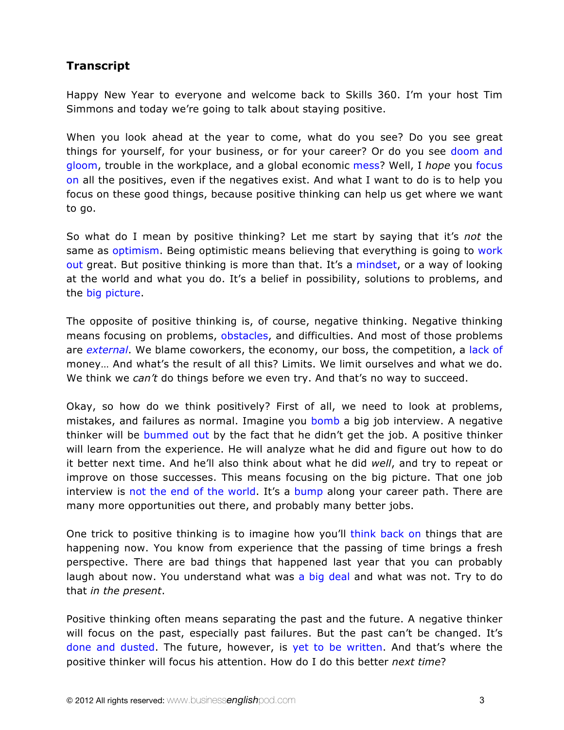# **Transcript**

Happy New Year to everyone and welcome back to Skills 360. I'm your host Tim Simmons and today we're going to talk about staying positive.

When you look ahead at the year to come, what do you see? Do you see great things for yourself, for your business, or for your career? Or do you see doom and gloom, trouble in the workplace, and a global economic mess? Well, I *hope* you focus on all the positives, even if the negatives exist. And what I want to do is to help you focus on these good things, because positive thinking can help us get where we want to go.

So what do I mean by positive thinking? Let me start by saying that it's *not* the same as optimism. Being optimistic means believing that everything is going to work out great. But positive thinking is more than that. It's a mindset, or a way of looking at the world and what you do. It's a belief in possibility, solutions to problems, and the big picture.

The opposite of positive thinking is, of course, negative thinking. Negative thinking means focusing on problems, obstacles, and difficulties. And most of those problems are *external*. We blame coworkers, the economy, our boss, the competition, a lack of money… And what's the result of all this? Limits. We limit ourselves and what we do. We think we *can't* do things before we even try. And that's no way to succeed.

Okay, so how do we think positively? First of all, we need to look at problems, mistakes, and failures as normal. Imagine you bomb a big job interview. A negative thinker will be bummed out by the fact that he didn't get the job. A positive thinker will learn from the experience. He will analyze what he did and figure out how to do it better next time. And he'll also think about what he did *well*, and try to repeat or improve on those successes. This means focusing on the big picture. That one job interview is not the end of the world. It's a bump along your career path. There are many more opportunities out there, and probably many better jobs.

One trick to positive thinking is to imagine how you'll think back on things that are happening now. You know from experience that the passing of time brings a fresh perspective. There are bad things that happened last year that you can probably laugh about now. You understand what was a big deal and what was not. Try to do that *in the present*.

Positive thinking often means separating the past and the future. A negative thinker will focus on the past, especially past failures. But the past can't be changed. It's done and dusted. The future, however, is yet to be written. And that's where the positive thinker will focus his attention. How do I do this better *next time*?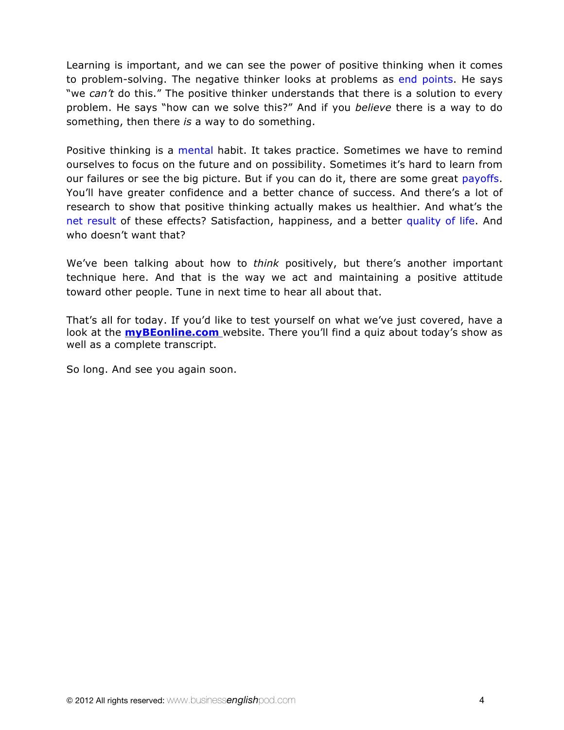Learning is important, and we can see the power of positive thinking when it comes to problem-solving. The negative thinker looks at problems as end points. He says "we *can't* do this." The positive thinker understands that there is a solution to every problem. He says "how can we solve this?" And if you *believe* there is a way to do something, then there *is* a way to do something.

Positive thinking is a mental habit. It takes practice. Sometimes we have to remind ourselves to focus on the future and on possibility. Sometimes it's hard to learn from our failures or see the big picture. But if you can do it, there are some great payoffs. You'll have greater confidence and a better chance of success. And there's a lot of research to show that positive thinking actually makes us healthier. And what's the net result of these effects? Satisfaction, happiness, and a better quality of life. And who doesn't want that?

We've been talking about how to *think* positively, but there's another important technique here. And that is the way we act and maintaining a positive attitude toward other people. Tune in next time to hear all about that.

That's all for today. If you'd like to test yourself on what we've just covered, have a look at the **myBEonline.com** website. There you'll find a quiz about today's show as well as a complete transcript.

So long. And see you again soon.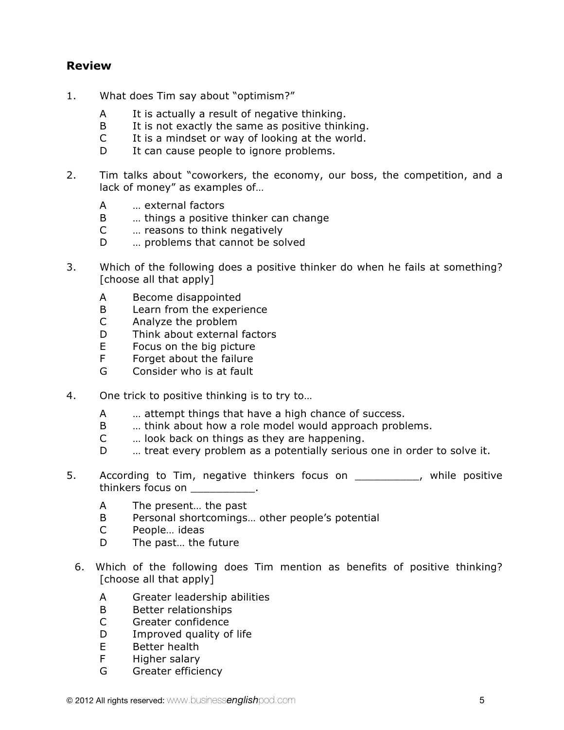# **Review**

- 1. What does Tim say about "optimism?"
	- A It is actually a result of negative thinking.
	- B It is not exactly the same as positive thinking.
	- C It is a mindset or way of looking at the world.
	- D It can cause people to ignore problems.
- 2. Tim talks about "coworkers, the economy, our boss, the competition, and a lack of money" as examples of…
	- A … external factors
	- B … things a positive thinker can change
	- C … reasons to think negatively
	- D … problems that cannot be solved
- 3. Which of the following does a positive thinker do when he fails at something? [choose all that apply]
	- A Become disappointed
	- B Learn from the experience
	- C Analyze the problem
	- D Think about external factors
	- E Focus on the big picture
	- F Forget about the failure
	- G Consider who is at fault
- 4. One trick to positive thinking is to try to…
	- A … attempt things that have a high chance of success.
	- B … think about how a role model would approach problems.
	- C … look back on things as they are happening.
	- D ... treat every problem as a potentially serious one in order to solve it.
- 5. According to Tim, negative thinkers focus on \_\_\_\_\_\_\_\_\_, while positive thinkers focus on  $\qquad \qquad$ .
	- A The present… the past
	- B Personal shortcomings… other people's potential
	- C People… ideas
	- D The past… the future
	- 6. Which of the following does Tim mention as benefits of positive thinking? [choose all that apply]
		- A Greater leadership abilities
		- B Better relationships
		- C Greater confidence
		- D Improved quality of life
		- E Better health
		- F Higher salary
		- G Greater efficiency